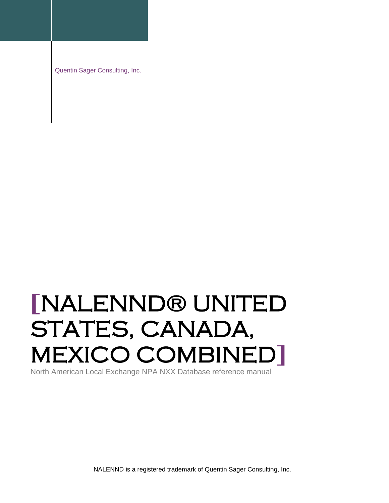Quentin Sager Consulting, Inc.

# **[**NALENND® UNITED STATES, CANADA, MEXICO COMBINED**]**

North American Local Exchange NPA NXX Database reference manual

NALENND is a registered trademark of Quentin Sager Consulting, Inc.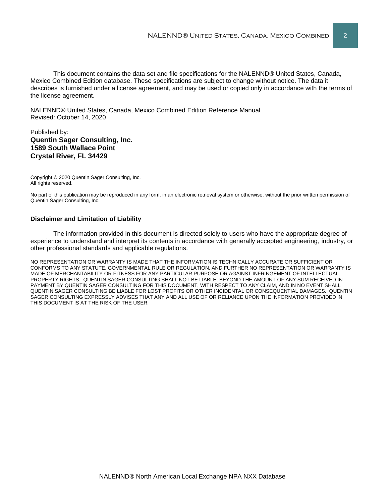This document contains the data set and file specifications for the NALENND® United States, Canada, Mexico Combined Edition database. These specifications are subject to change without notice. The data it describes is furnished under a license agreement, and may be used or copied only in accordance with the terms of the license agreement.

NALENND® United States, Canada, Mexico Combined Edition Reference Manual Revised: October 14, 2020

#### Published by: **Quentin Sager Consulting, Inc. 1589 South Wallace Point Crystal River, FL 34429**

Copyright © 2020 Quentin Sager Consulting, Inc. All rights reserved.

No part of this publication may be reproduced in any form, in an electronic retrieval system or otherwise, without the prior written permission of Quentin Sager Consulting, Inc.

#### **Disclaimer and Limitation of Liability**

The information provided in this document is directed solely to users who have the appropriate degree of experience to understand and interpret its contents in accordance with generally accepted engineering, industry, or other professional standards and applicable regulations.

NO REPRESENTATION OR WARRANTY IS MADE THAT THE INFORMATION IS TECHNICALLY ACCURATE OR SUFFICIENT OR CONFORMS TO ANY STATUTE, GOVERNMENTAL RULE OR REGULATION, AND FURTHER NO REPRESENTATION OR WARRANTY IS MADE OF MERCHANTABILITY OR FITNESS FOR ANY PARTICULAR PURPOSE OR AGAINST INFRINGEMENT OF INTELLECTUAL PROPERTY RIGHTS. QUENTIN SAGER CONSULTING SHALL NOT BE LIABLE, BEYOND THE AMOUNT OF ANY SUM RECEIVED IN PAYMENT BY QUENTIN SAGER CONSULTING FOR THIS DOCUMENT, WITH RESPECT TO ANY CLAIM, AND IN NO EVENT SHALL QUENTIN SAGER CONSULTING BE LIABLE FOR LOST PROFITS OR OTHER INCIDENTAL OR CONSEQUENTIAL DAMAGES. QUENTIN SAGER CONSULTING EXPRESSLY ADVISES THAT ANY AND ALL USE OF OR RELIANCE UPON THE INFORMATION PROVIDED IN THIS DOCUMENT IS AT THE RISK OF THE USER.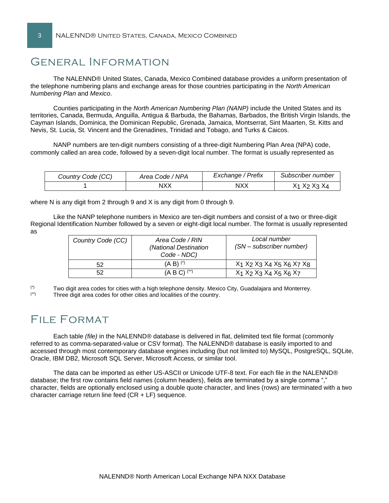# General Information

The NALENND® United States, Canada, Mexico Combined database provides a uniform presentation of the telephone numbering plans and exchange areas for those countries participating in the *North American Numbering Plan* and *Mexico*.

Counties participating in the *North American Numbering Plan (NANP)* include the United States and its territories, Canada, Bermuda, Anguilla, Antigua & Barbuda, the Bahamas, Barbados, the British Virgin Islands, the Cayman Islands, Dominica, the Dominican Republic, Grenada, Jamaica, Montserrat, Sint Maarten, St. Kitts and Nevis, St. Lucia, St. Vincent and the Grenadines, Trinidad and Tobago, and Turks & Caicos.

NANP numbers are ten-digit numbers consisting of a three-digit Numbering Plan Area (NPA) code, commonly called an area code, followed by a seven-digit local number. The format is usually represented as

| Country Code (CC) | Area Code / NPA | Exchange / Prefix | Subscriber number                                           |
|-------------------|-----------------|-------------------|-------------------------------------------------------------|
|                   | NXX             | NXX               | X <sub>1</sub> X <sub>2</sub> X <sub>3</sub> X <sub>4</sub> |

where N is any digit from 2 through 9 and X is any digit from 0 through 9.

Like the NANP telephone numbers in Mexico are ten-digit numbers and consist of a two or three-digit Regional Identification Number followed by a seven or eight-digit local number. The format is usually represented as

| Country Code (CC) | Area Code / RIN<br>(National Destination<br>Code - NDC) | Local number<br>(SN – subscriber number)        |
|-------------------|---------------------------------------------------------|-------------------------------------------------|
| 52                | $(A \ B)$ $(*)$                                         | $X_1$ $X_2$ $X_3$ $X_4$ $X_5$ $X_6$ $X_7$ $X_8$ |
| 52                | $(A B C)$ <sup>(**)</sup>                               | $X_1$ $X_2$ $X_3$ $X_4$ $X_5$ $X_6$ $X_7$       |

 $\binom{r}{r}$  Two digit area codes for cities with a high telephone density. Mexico City, Guadalajara and Monterrey.<br> $\binom{r}{r}$  Three digit area codes for other cities and localities of the country. Three digit area codes for other cities and localities of the country.

# FILE FORMAT

Each table *(file)* in the NALENND® database is delivered in flat, delimited text file format (commonly referred to as comma-separated-value or CSV format). The NALENND® database is easily imported to and accessed through most contemporary database engines including (but not limited to) MySQL, PostgreSQL, SQLite, Oracle, IBM DB2, Microsoft SQL Server, Microsoft Access, or similar tool.

The data can be imported as either US-ASCII or Unicode UTF-8 text. For each file in the NALENND® database; the first row contains field names (column headers), fields are terminated by a single comma "," character, fields are optionally enclosed using a double quote character, and lines (rows) are terminated with a two character carriage return line feed  $(CR + LF)$  sequence.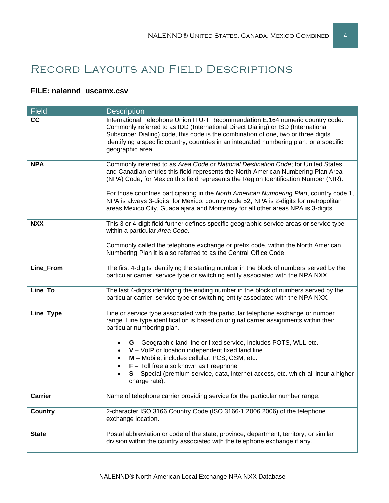# Record Layouts and Field Descriptions

## **FILE: nalennd\_uscamx.csv**

| <b>Field</b>   | <b>Description</b>                                                                                                                                                                                                                                                                                                                                                       |  |
|----------------|--------------------------------------------------------------------------------------------------------------------------------------------------------------------------------------------------------------------------------------------------------------------------------------------------------------------------------------------------------------------------|--|
| cc             | International Telephone Union ITU-T Recommendation E.164 numeric country code.<br>Commonly referred to as IDD (International Direct Dialing) or ISD (International<br>Subscriber Dialing) code, this code is the combination of one, two or three digits<br>identifying a specific country, countries in an integrated numbering plan, or a specific<br>geographic area. |  |
| <b>NPA</b>     | Commonly referred to as Area Code or National Destination Code; for United States<br>and Canadian entries this field represents the North American Numbering Plan Area<br>(NPA) Code, for Mexico this field represents the Region Identification Number (NIR).<br>For those countries participating in the North American Numbering Plan, country code 1,                |  |
|                | NPA is always 3-digits; for Mexico, country code 52, NPA is 2-digits for metropolitan<br>areas Mexico City, Guadalajara and Monterrey for all other areas NPA is 3-digits.                                                                                                                                                                                               |  |
| <b>NXX</b>     | This 3 or 4-digit field further defines specific geographic service areas or service type<br>within a particular Area Code.                                                                                                                                                                                                                                              |  |
|                | Commonly called the telephone exchange or prefix code, within the North American<br>Numbering Plan it is also referred to as the Central Office Code.                                                                                                                                                                                                                    |  |
| Line_From      | The first 4-digits identifying the starting number in the block of numbers served by the<br>particular carrier, service type or switching entity associated with the NPA NXX.                                                                                                                                                                                            |  |
| Line_To        | The last 4-digits identifying the ending number in the block of numbers served by the<br>particular carrier, service type or switching entity associated with the NPA NXX.                                                                                                                                                                                               |  |
| Line_Type      | Line or service type associated with the particular telephone exchange or number<br>range. Line type identification is based on original carrier assignments within their<br>particular numbering plan.                                                                                                                                                                  |  |
|                | G - Geographic land line or fixed service, includes POTS, WLL etc.                                                                                                                                                                                                                                                                                                       |  |
|                | V - VoIP or location independent fixed land line<br>M - Mobile, includes cellular, PCS, GSM, etc.                                                                                                                                                                                                                                                                        |  |
|                | $F$ – Toll free also known as Freephone                                                                                                                                                                                                                                                                                                                                  |  |
|                | S - Special (premium service, data, internet access, etc. which all incur a higher<br>charge rate).                                                                                                                                                                                                                                                                      |  |
| <b>Carrier</b> | Name of telephone carrier providing service for the particular number range.                                                                                                                                                                                                                                                                                             |  |
| <b>Country</b> | 2-character ISO 3166 Country Code (ISO 3166-1:2006 2006) of the telephone<br>exchange location.                                                                                                                                                                                                                                                                          |  |
| <b>State</b>   | Postal abbreviation or code of the state, province, department, territory, or similar<br>division within the country associated with the telephone exchange if any.                                                                                                                                                                                                      |  |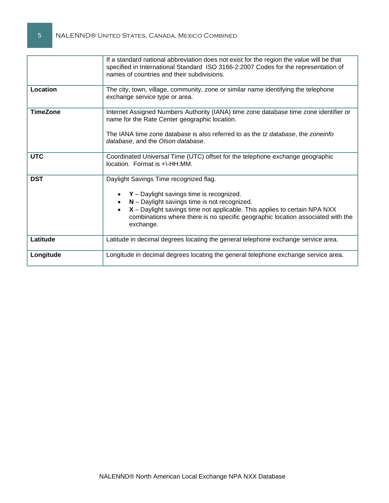|                 | If a standard national abbreviation does not exist for the region the value will be that<br>specified in International Standard ISO 3166-2:2007 Codes for the representation of<br>names of countries and their subdivisions.                                                                                       |  |  |
|-----------------|---------------------------------------------------------------------------------------------------------------------------------------------------------------------------------------------------------------------------------------------------------------------------------------------------------------------|--|--|
| Location        | The city, town, village, community, zone or similar name identifying the telephone<br>exchange service type or area.                                                                                                                                                                                                |  |  |
| <b>TimeZone</b> | Internet Assigned Numbers Authority (IANA) time zone database time zone identifier or<br>name for the Rate Center geographic location.<br>The IANA time zone database is also referred to as the tz database, the zoneinfo<br>database, and the Olson database.                                                     |  |  |
| <b>UTC</b>      | Coordinated Universal Time (UTC) offset for the telephone exchange geographic<br>location. Format is +\-HH:MM.                                                                                                                                                                                                      |  |  |
| <b>DST</b>      | Daylight Savings Time recognized flag.<br>$Y$ – Daylight savings time is recognized.<br>$N -$ Daylight savings time is not recognized.<br>X - Daylight savings time not applicable. This applies to certain NPA NXX<br>combinations where there is no specific geographic location associated with the<br>exchange. |  |  |
| Latitude        | Latitude in decimal degrees locating the general telephone exchange service area.                                                                                                                                                                                                                                   |  |  |
| Longitude       | Longitude in decimal degrees locating the general telephone exchange service area.                                                                                                                                                                                                                                  |  |  |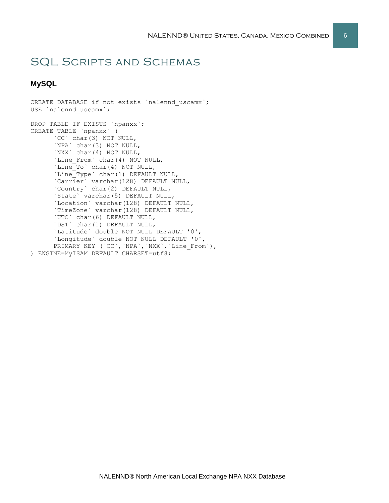# SQL Scripts and Schemas

## **MySQL**

CREATE DATABASE if not exists `nalennd uscamx`; USE `nalennd uscamx`; DROP TABLE IF EXISTS `npanxx`; CREATE TABLE `npanxx` ( `CC` char(3) NOT NULL, `NPA` char(3) NOT NULL, `NXX` char(4) NOT NULL, `Line From` char(4) NOT NULL, `Line To` char(4) NOT NULL, `Line\_Type` char(1) DEFAULT NULL, `Carrier` varchar(128) DEFAULT NULL, `Country` char(2) DEFAULT NULL, `State` varchar(5) DEFAULT NULL, `Location` varchar(128) DEFAULT NULL, `TimeZone` varchar(128) DEFAULT NULL, `UTC` char(6) DEFAULT NULL, `DST` char(1) DEFAULT NULL, `Latitude` double NOT NULL DEFAULT '0', `Longitude` double NOT NULL DEFAULT '0', PRIMARY KEY (`CC`, `NPA`, `NXX`, `Line From`), ) ENGINE=MyISAM DEFAULT CHARSET=utf8;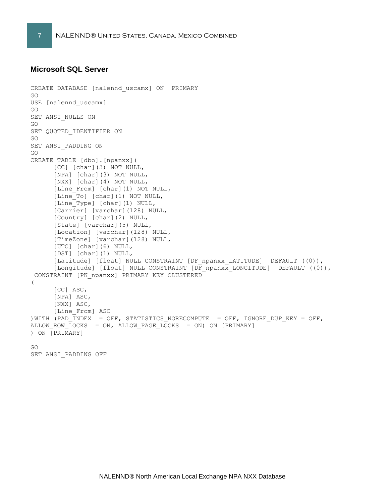#### **Microsoft SQL Server**

```
CREATE DATABASE [nalennd_uscamx] ON PRIMARY 
GO
USE [nalennd_uscamx]
GO
SET ANSI NULLS ON
GO
SET QUOTED IDENTIFIER ON
GO
SET ANSI_PADDING ON
GO
CREATE TABLE [dbo].[npanxx](
     [CC] [char](3) NOT NULL,
      [NPA] [char](3) NOT NULL,
      [NXX] [char](4) NOT NULL,
      [Line From] [char](1) NOT NULL,
      [Line To] [char](1) NOT NULL,
      [Line Type] [char](1) NULL,
      [Carrier] [varchar](128) NULL,
      [Country] [char](2) NULL,
      [State] [varchar](5) NULL,
      [Location] [varchar](128) NULL,
      [TimeZone] [varchar](128) NULL,
      [UTC] [char](6) NULL,
      [DST] [char](1) NULL,
      [Latitude] [float] NULL CONSTRAINT [DF npanxx LATITUDE] DEFAULT ((0)),
      [Longitude] [float] NULL CONSTRAINT [DF_npanxx_LONGITUDE] DEFAULT ((0)),
 CONSTRAINT [PK_npanxx] PRIMARY KEY CLUSTERED 
(
      [CC] ASC,
      [NPA] ASC,
      [NXX] ASC,
      [Line_From] ASC
)WITH (PAD \overline{INDEX} = OFF, STATISTICS NORECOMPUTE = OFF, IGNORE DUP KEY = OFF,
ALLOW_ROW_LOCKS = ON, ALLOW_PAGE_LOCKS = ON) ON [PRIMARY]
) ON [PRIMARY]
GO
```
SET ANSI\_PADDING OFF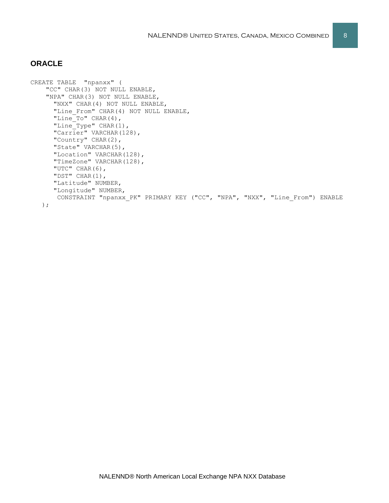### **ORACLE**

```
CREATE TABLE "npanxx" (
     "CC" CHAR(3) NOT NULL ENABLE, 
     "NPA" CHAR(3) NOT NULL ENABLE, 
      "NXX" CHAR(4) NOT NULL ENABLE, 
      "Line From" CHAR(4) NOT NULL ENABLE,
      "Line To" CHAR(4),
      "Line_Type" CHAR(1), 
      "Carrier" VARCHAR(128),
      "Country" CHAR(2),
      "State" VARCHAR(5), 
      "Location" VARCHAR(128), 
      "TimeZone" VARCHAR(128), 
      "UTC" CHAR(6), 
      "DST" CHAR(1), 
      "Latitude" NUMBER, 
      "Longitude" NUMBER, 
      CONSTRAINT "npanxx_PK" PRIMARY KEY ("CC", "NPA", "NXX", "Line_From") ENABLE
    );
```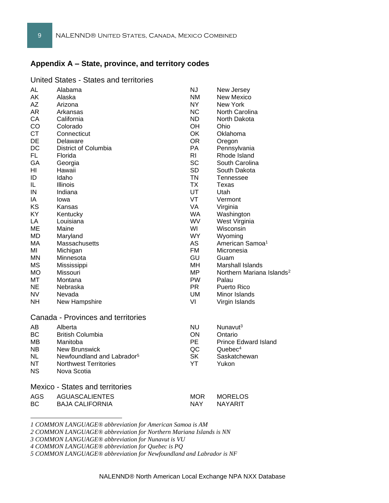## **Appendix A – State, province, and territory codes**

#### United States - States and territories

| AL<br>AK  | Alabama<br>Alaska                      | ΝJ<br><b>NM</b> | New Jersey<br>New Mexico              |
|-----------|----------------------------------------|-----------------|---------------------------------------|
| AΖ        | Arizona                                | NY.             | New York                              |
| AR        | Arkansas                               | <b>NC</b>       | North Carolina                        |
| CА<br>CO  | California<br>Colorado                 | ND.<br>OH.      | North Dakota<br>Ohio                  |
| <b>CT</b> | Connecticut                            | OK              | Oklahoma                              |
| DE        | Delaware                               | <b>OR</b>       |                                       |
| DC        | District of Columbia                   | PA              | Oregon<br>Pennsylvania                |
| FL.       | Florida                                | R <sub>l</sub>  | Rhode Island                          |
| GА        | Georgia                                | <b>SC</b>       | South Carolina                        |
| ΗI        | Hawaii                                 | <b>SD</b>       | South Dakota                          |
| ID        | Idaho                                  | <b>TN</b>       | Tennessee                             |
| IL.       | Illinois                               | <b>TX</b>       | Texas                                 |
| IN        | Indiana                                | UT              | Utah                                  |
| IA        | lowa                                   | VT              | Vermont                               |
| KS        | Kansas                                 | VA              | Virginia                              |
| KY        | Kentucky                               | <b>WA</b>       | Washington                            |
| LA        | Louisiana                              | <b>WV</b>       | West Virginia                         |
| МE        | Maine                                  | WI              | Wisconsin                             |
| <b>MD</b> | Maryland                               | <b>WY</b>       | Wyoming                               |
| МA        | <b>Massachusetts</b>                   | AS              | American Samoa <sup>1</sup>           |
| MI        | Michigan                               | <b>FM</b>       | Micronesia                            |
| MN.       | Minnesota                              | GU              | Guam                                  |
| <b>MS</b> | Mississippi                            | MН              | Marshall Islands                      |
| МO        | Missouri                               | <b>MP</b>       | Northern Mariana Islands <sup>2</sup> |
| МT        | Montana                                | <b>PW</b>       | Palau                                 |
| NE        | Nebraska                               | <b>PR</b>       | <b>Puerto Rico</b>                    |
| NV        | Nevada                                 | UM              | Minor Islands                         |
| NΗ        | New Hampshire                          | VI              | Virgin Islands                        |
|           | Canada - Provinces and territories     |                 |                                       |
| AВ        | Alberta                                | <b>NU</b>       | Nunavut <sup>3</sup>                  |
| <b>BC</b> | <b>British Columbia</b>                | ON              | Ontario                               |
| MВ        | Manitoba                               | PE.             | <b>Prince Edward Island</b>           |
| NB.       | New Brunswick                          | QC              | Quebec <sup>4</sup>                   |
| NL        | Newfoundland and Labrador <sup>5</sup> | <b>SK</b>       | Saskatchewan                          |
| NT        | <b>Northwest Territories</b>           | YT              | Yukon                                 |
| ΝS        | Nova Scotia                            |                 |                                       |
|           | <b>Mexico - States and territories</b> |                 |                                       |
| AGS       | <b>AGUASCALIENTES</b>                  | <b>MOR</b>      | <b>MORELOS</b>                        |
| ВC        | <b>BAJA CALIFORNIA</b>                 | NAY.            | NAYARIT                               |
|           |                                        |                 |                                       |

*1 COMMON LANGUAGE® abbreviation for American Samoa is AM*

*3 COMMON LANGUAGE® abbreviation for Nunavut is VU*

*4 COMMON LANGUAGE® abbreviation for Quebec is PQ*

*5 COMMON LANGUAGE® abbreviation for Newfoundland and Labrador is NF*

*<sup>2</sup> COMMON LANGUAGE® abbreviation for Northern Mariana Islands is NN*